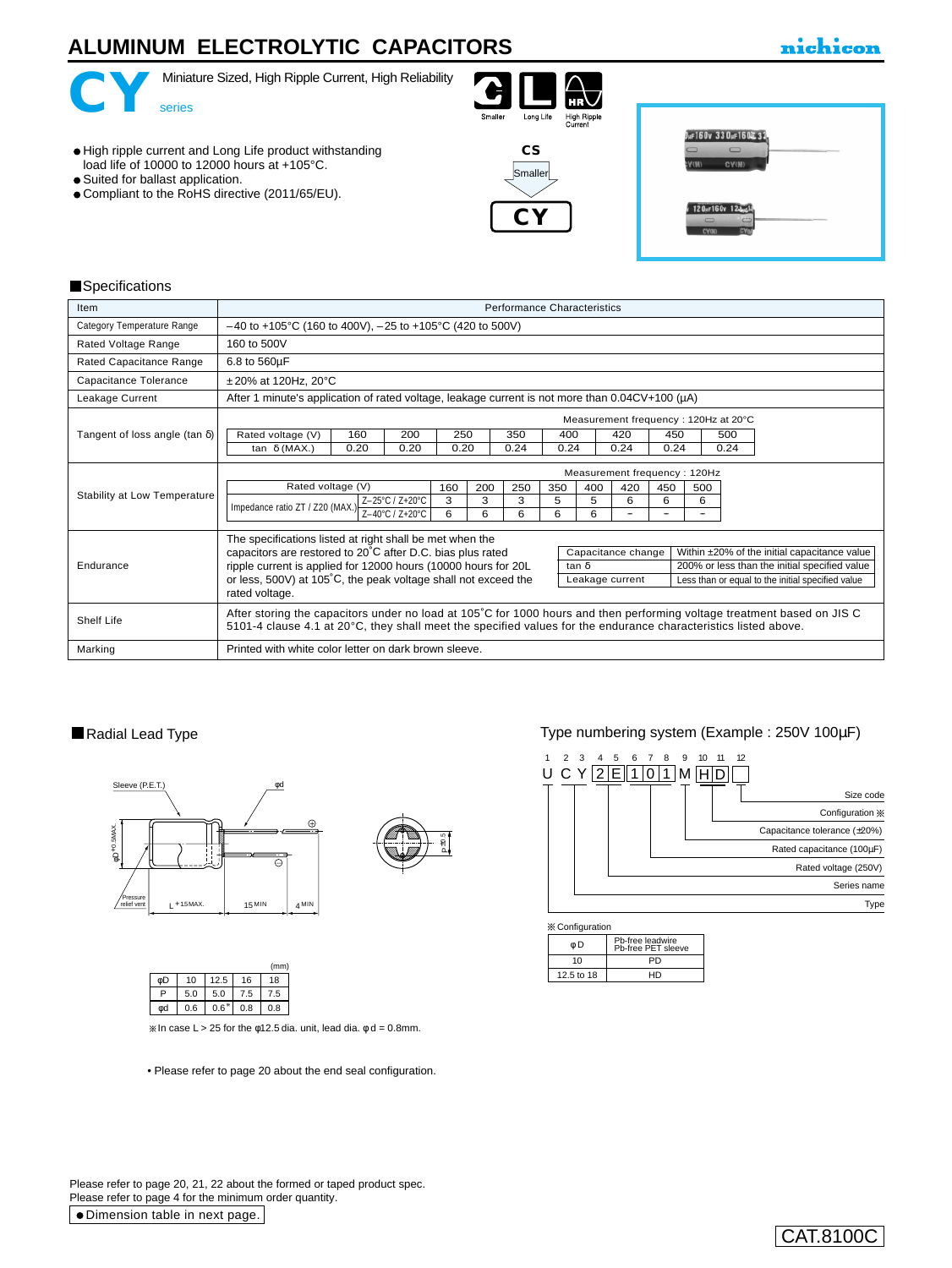# **ALUMINUM ELECTROLYTIC CAPACITORS**





Miniature Sized, High Ripple Current, High Reliability





- Suited for ballast application.
- Compliant to the RoHS directive (2011/65/EU).





#### **Specifications**

| Item                                  | <b>Performance Characteristics</b>                                                                                                                                                                                                         |                                                                                                         |      |     |      |      |                                      |              |     |                 |      |                                                   |  |  |
|---------------------------------------|--------------------------------------------------------------------------------------------------------------------------------------------------------------------------------------------------------------------------------------------|---------------------------------------------------------------------------------------------------------|------|-----|------|------|--------------------------------------|--------------|-----|-----------------|------|---------------------------------------------------|--|--|
| Category Temperature Range            | $-40$ to +105°C (160 to 400V), $-25$ to +105°C (420 to 500V)                                                                                                                                                                               |                                                                                                         |      |     |      |      |                                      |              |     |                 |      |                                                   |  |  |
| Rated Voltage Range                   | 160 to 500V                                                                                                                                                                                                                                |                                                                                                         |      |     |      |      |                                      |              |     |                 |      |                                                   |  |  |
| Rated Capacitance Range               | 6.8 to 560µF                                                                                                                                                                                                                               |                                                                                                         |      |     |      |      |                                      |              |     |                 |      |                                                   |  |  |
| Capacitance Tolerance                 | $±20\%$ at 120Hz, 20 $°C$                                                                                                                                                                                                                  |                                                                                                         |      |     |      |      |                                      |              |     |                 |      |                                                   |  |  |
| Leakage Current                       |                                                                                                                                                                                                                                            | After 1 minute's application of rated voltage, leakage current is not more than $0.04CV+100$ ( $\mu$ A) |      |     |      |      |                                      |              |     |                 |      |                                                   |  |  |
|                                       |                                                                                                                                                                                                                                            |                                                                                                         |      |     |      |      | Measurement frequency: 120Hz at 20°C |              |     |                 |      |                                                   |  |  |
| Tangent of loss angle (tan $\delta$ ) | Rated voltage (V)<br>160                                                                                                                                                                                                                   | 200                                                                                                     | 250  |     | 350  | 400  |                                      | 420          | 450 |                 | 500  |                                                   |  |  |
|                                       | tan $\delta$ (MAX.)<br>0.20                                                                                                                                                                                                                | 0.20                                                                                                    | 0.20 |     | 0.24 | 0.24 |                                      | 0.24<br>0.24 |     |                 | 0.24 |                                                   |  |  |
|                                       | Measurement frequency: 120Hz                                                                                                                                                                                                               |                                                                                                         |      |     |      |      |                                      |              |     |                 |      |                                                   |  |  |
|                                       | Rated voltage (V)                                                                                                                                                                                                                          |                                                                                                         | 160  | 200 | 250  | 350  | 400                                  | 420          | 450 | 500             |      |                                                   |  |  |
| Stability at Low Temperature          | Impedance ratio ZT / Z20 (MAX.) $\frac{2-20 \text{ V} \cdot 2 \cdot 10}{Z-40^{\circ} \text{C} / Z+20^{\circ} \text{C}}$                                                                                                                    | Z-25°C / Z+20°C                                                                                         | 3    | 3   | 3    | 5    | 5                                    | 6            | 6   | 6               |      |                                                   |  |  |
|                                       |                                                                                                                                                                                                                                            |                                                                                                         | 6    | 6   | 6    | 6    | 6                                    | -            |     | $\qquad \qquad$ |      |                                                   |  |  |
|                                       | The specifications listed at right shall be met when the                                                                                                                                                                                   |                                                                                                         |      |     |      |      |                                      |              |     |                 |      |                                                   |  |  |
| Endurance                             | capacitors are restored to 20°C after D.C. bias plus rated<br>Capacitance change<br>Within ±20% of the initial capacitance value                                                                                                           |                                                                                                         |      |     |      |      |                                      |              |     |                 |      |                                                   |  |  |
|                                       | ripple current is applied for 12000 hours (10000 hours for 20L<br>200% or less than the initial specified value<br>tan δ                                                                                                                   |                                                                                                         |      |     |      |      |                                      |              |     |                 |      |                                                   |  |  |
|                                       | or less, 500V) at 105°C, the peak voltage shall not exceed the                                                                                                                                                                             |                                                                                                         |      |     |      |      | Leakage current                      |              |     |                 |      | Less than or equal to the initial specified value |  |  |
|                                       | rated voltage.                                                                                                                                                                                                                             |                                                                                                         |      |     |      |      |                                      |              |     |                 |      |                                                   |  |  |
| Shelf Life                            | After storing the capacitors under no load at 105°C for 1000 hours and then performing voltage treatment based on JIS C<br>5101-4 clause 4.1 at 20°C, they shall meet the specified values for the endurance characteristics listed above. |                                                                                                         |      |     |      |      |                                      |              |     |                 |      |                                                   |  |  |
| Marking                               | Printed with white color letter on dark brown sleeve.                                                                                                                                                                                      |                                                                                                         |      |     |      |      |                                      |              |     |                 |      |                                                   |  |  |

### Radial Lead Type





|     |      |     | (mm)           |
|-----|------|-----|----------------|
| 10  | 12.5 | 16  | 18             |
| 5.0 | 5.0  | 7.5 | 7.5            |
| 0.6 |      | 0.8 | 0.8            |
|     |      |     | $0.6^{\circ}1$ |

 $\%$  In case L > 25 for the φ12.5 dia. unit, lead dia. φ d = 0.8mm.

• [Please refer to page 20 about the end seal configuration.](e-fuko.pdf)

## Type numbering system (Example : 250V 100µF)



| $\mathbb{X}$ Configuration |                                        |  |  |  |  |  |  |  |  |
|----------------------------|----------------------------------------|--|--|--|--|--|--|--|--|
| óD                         | Pb-free leadwire<br>Ph-free PET sleeve |  |  |  |  |  |  |  |  |
| 10                         | PD                                     |  |  |  |  |  |  |  |  |
| 12.5 to 18                 | нn                                     |  |  |  |  |  |  |  |  |
|                            |                                        |  |  |  |  |  |  |  |  |

Dimension table in next page. Please refer to page 20, 21, 22 about the formed or taped product spec. Please refer to page 4 for the minimum order quantity.